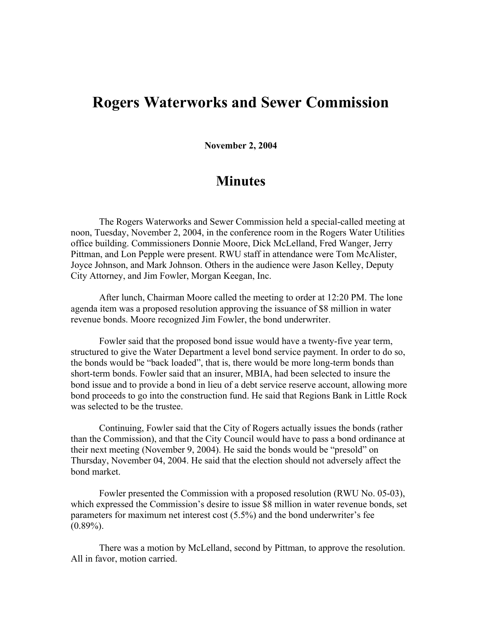## **Rogers Waterworks and Sewer Commission**

**November 2, 2004**

## **Minutes**

The Rogers Waterworks and Sewer Commission held a special-called meeting at noon, Tuesday, November 2, 2004, in the conference room in the Rogers Water Utilities office building. Commissioners Donnie Moore, Dick McLelland, Fred Wanger, Jerry Pittman, and Lon Pepple were present. RWU staff in attendance were Tom McAlister, Joyce Johnson, and Mark Johnson. Others in the audience were Jason Kelley, Deputy City Attorney, and Jim Fowler, Morgan Keegan, Inc.

After lunch, Chairman Moore called the meeting to order at 12:20 PM. The lone agenda item was a proposed resolution approving the issuance of \$8 million in water revenue bonds. Moore recognized Jim Fowler, the bond underwriter.

Fowler said that the proposed bond issue would have a twenty-five year term, structured to give the Water Department a level bond service payment. In order to do so, the bonds would be "back loaded", that is, there would be more long-term bonds than short-term bonds. Fowler said that an insurer, MBIA, had been selected to insure the bond issue and to provide a bond in lieu of a debt service reserve account, allowing more bond proceeds to go into the construction fund. He said that Regions Bank in Little Rock was selected to be the trustee.

Continuing, Fowler said that the City of Rogers actually issues the bonds (rather than the Commission), and that the City Council would have to pass a bond ordinance at their next meeting (November 9, 2004). He said the bonds would be "presold" on Thursday, November 04, 2004. He said that the election should not adversely affect the bond market.

Fowler presented the Commission with a proposed resolution (RWU No. 05-03), which expressed the Commission's desire to issue \$8 million in water revenue bonds, set parameters for maximum net interest cost (5.5%) and the bond underwriter's fee  $(0.89\%)$ .

There was a motion by McLelland, second by Pittman, to approve the resolution. All in favor, motion carried.